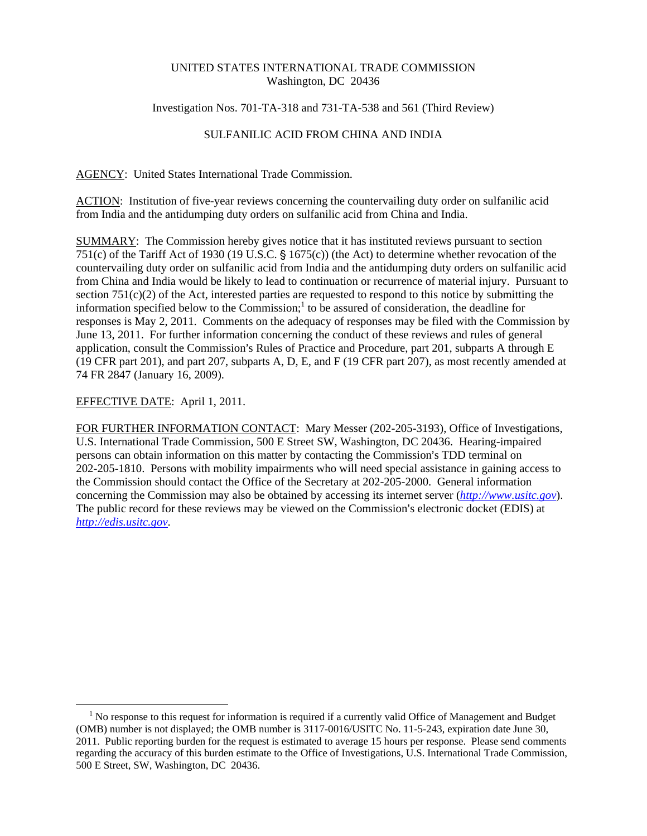## UNITED STATES INTERNATIONAL TRADE COMMISSION Washington, DC 20436

### Investigation Nos. 701-TA-318 and 731-TA-538 and 561 (Third Review)

# SULFANILIC ACID FROM CHINA AND INDIA

AGENCY: United States International Trade Commission.

ACTION: Institution of five-year reviews concerning the countervailing duty order on sulfanilic acid from India and the antidumping duty orders on sulfanilic acid from China and India.

SUMMARY: The Commission hereby gives notice that it has instituted reviews pursuant to section 751(c) of the Tariff Act of 1930 (19 U.S.C.  $\S$  1675(c)) (the Act) to determine whether revocation of the countervailing duty order on sulfanilic acid from India and the antidumping duty orders on sulfanilic acid from China and India would be likely to lead to continuation or recurrence of material injury. Pursuant to section  $751(c)(2)$  of the Act, interested parties are requested to respond to this notice by submitting the information specified below to the Commission;<sup>1</sup> to be assured of consideration, the deadline for responses is May 2, 2011. Comments on the adequacy of responses may be filed with the Commission by June 13, 2011. For further information concerning the conduct of these reviews and rules of general application, consult the Commission's Rules of Practice and Procedure, part 201, subparts A through E (19 CFR part 201), and part 207, subparts A, D, E, and F (19 CFR part 207), as most recently amended at 74 FR 2847 (January 16, 2009).

## EFFECTIVE DATE: April 1, 2011.

FOR FURTHER INFORMATION CONTACT: Mary Messer (202-205-3193), Office of Investigations, U.S. International Trade Commission, 500 E Street SW, Washington, DC 20436. Hearing-impaired persons can obtain information on this matter by contacting the Commission's TDD terminal on 202-205-1810. Persons with mobility impairments who will need special assistance in gaining access to the Commission should contact the Office of the Secretary at 202-205-2000. General information concerning the Commission may also be obtained by accessing its internet server (*http://www.usitc.gov*). The public record for these reviews may be viewed on the Commission's electronic docket (EDIS) at *http://edis.usitc.gov*.

 $\overline{a}$ <sup>1</sup> No response to this request for information is required if a currently valid Office of Management and Budget (OMB) number is not displayed; the OMB number is 3117-0016/USITC No. 11-5-243, expiration date June 30, 2011. Public reporting burden for the request is estimated to average 15 hours per response. Please send comments regarding the accuracy of this burden estimate to the Office of Investigations, U.S. International Trade Commission, 500 E Street, SW, Washington, DC 20436.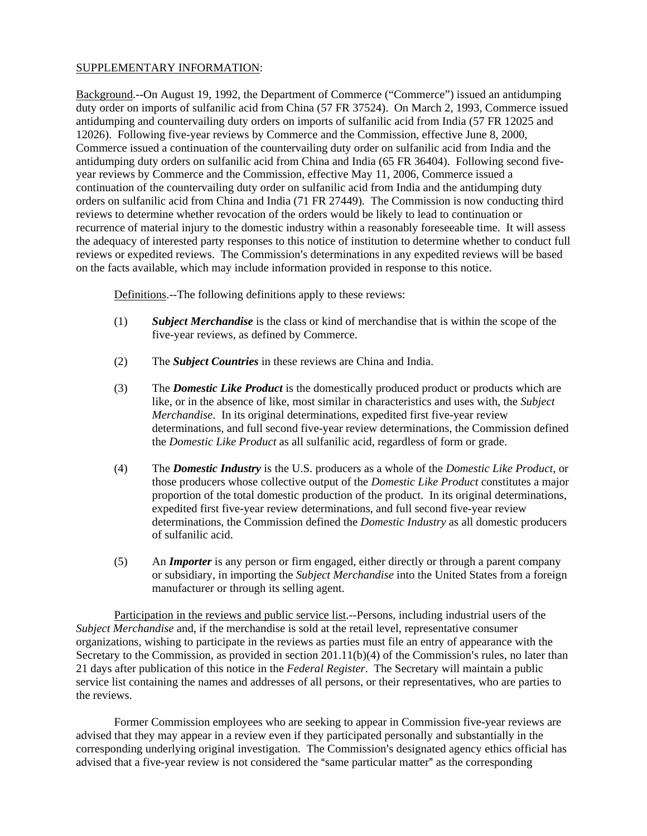## SUPPLEMENTARY INFORMATION:

Background.--On August 19, 1992, the Department of Commerce ("Commerce") issued an antidumping duty order on imports of sulfanilic acid from China (57 FR 37524). On March 2, 1993, Commerce issued antidumping and countervailing duty orders on imports of sulfanilic acid from India (57 FR 12025 and 12026). Following five-year reviews by Commerce and the Commission, effective June 8, 2000, Commerce issued a continuation of the countervailing duty order on sulfanilic acid from India and the antidumping duty orders on sulfanilic acid from China and India (65 FR 36404). Following second fiveyear reviews by Commerce and the Commission, effective May 11, 2006, Commerce issued a continuation of the countervailing duty order on sulfanilic acid from India and the antidumping duty orders on sulfanilic acid from China and India (71 FR 27449). The Commission is now conducting third reviews to determine whether revocation of the orders would be likely to lead to continuation or recurrence of material injury to the domestic industry within a reasonably foreseeable time. It will assess the adequacy of interested party responses to this notice of institution to determine whether to conduct full reviews or expedited reviews. The Commission's determinations in any expedited reviews will be based on the facts available, which may include information provided in response to this notice.

Definitions.--The following definitions apply to these reviews:

- (1) *Subject Merchandise* is the class or kind of merchandise that is within the scope of the five-year reviews, as defined by Commerce.
- (2) The *Subject Countries* in these reviews are China and India.
- (3) The *Domestic Like Product* is the domestically produced product or products which are like, or in the absence of like, most similar in characteristics and uses with, the *Subject Merchandise*. In its original determinations, expedited first five-year review determinations, and full second five-year review determinations, the Commission defined the *Domestic Like Product* as all sulfanilic acid, regardless of form or grade.
- (4) The *Domestic Industry* is the U.S. producers as a whole of the *Domestic Like Product*, or those producers whose collective output of the *Domestic Like Product* constitutes a major proportion of the total domestic production of the product. In its original determinations, expedited first five-year review determinations, and full second five-year review determinations, the Commission defined the *Domestic Industry* as all domestic producers of sulfanilic acid.
- (5) An *Importer* is any person or firm engaged, either directly or through a parent company or subsidiary, in importing the *Subject Merchandise* into the United States from a foreign manufacturer or through its selling agent.

Participation in the reviews and public service list.--Persons, including industrial users of the *Subject Merchandise* and, if the merchandise is sold at the retail level, representative consumer organizations, wishing to participate in the reviews as parties must file an entry of appearance with the Secretary to the Commission, as provided in section  $201.11(b)(4)$  of the Commission's rules, no later than 21 days after publication of this notice in the *Federal Register*. The Secretary will maintain a public service list containing the names and addresses of all persons, or their representatives, who are parties to the reviews.

Former Commission employees who are seeking to appear in Commission five-year reviews are advised that they may appear in a review even if they participated personally and substantially in the corresponding underlying original investigation. The Commission's designated agency ethics official has advised that a five-year review is not considered the "same particular matter" as the corresponding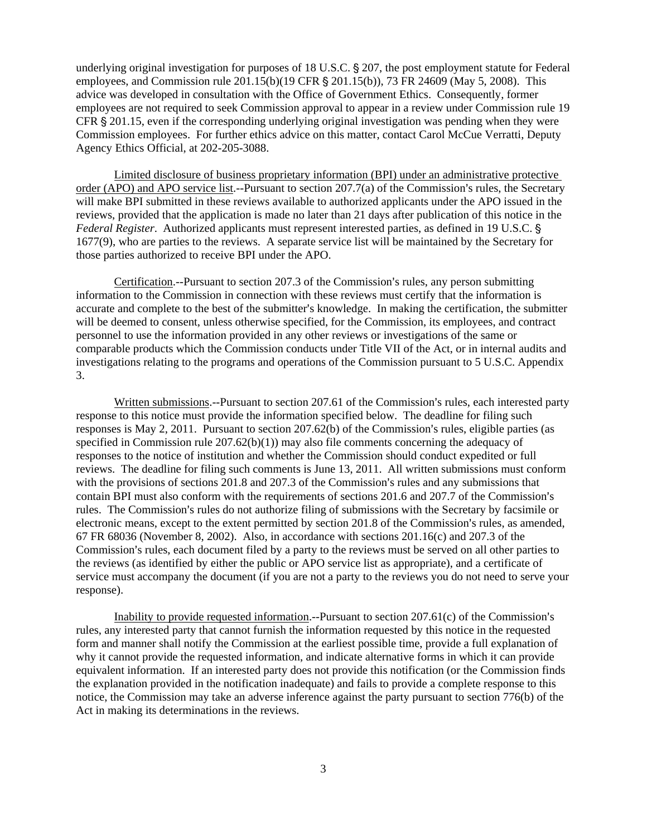underlying original investigation for purposes of  $18$  U.S.C.  $\S$  207, the post employment statute for Federal employees, and Commission rule  $201.15(b)(19 \text{ CFR } \text{\textless} 201.15(b))$ , 73 FR 24609 (May 5, 2008). This advice was developed in consultation with the Office of Government Ethics. Consequently, former employees are not required to seek Commission approval to appear in a review under Commission rule 19 CFR  $\S 201.15$ , even if the corresponding underlying original investigation was pending when they were Commission employees. For further ethics advice on this matter, contact Carol McCue Verratti, Deputy Agency Ethics Official, at 202-205-3088.

Limited disclosure of business proprietary information (BPI) under an administrative protective order (APO) and APO service list.--Pursuant to section  $207.7(a)$  of the Commission's rules, the Secretary will make BPI submitted in these reviews available to authorized applicants under the APO issued in the reviews, provided that the application is made no later than 21 days after publication of this notice in the *Federal Register*. Authorized applicants must represent interested parties, as defined in 19 U.S.C. ' 1677(9), who are parties to the reviews. A separate service list will be maintained by the Secretary for those parties authorized to receive BPI under the APO.

Certification.--Pursuant to section  $207.3$  of the Commission's rules, any person submitting information to the Commission in connection with these reviews must certify that the information is accurate and complete to the best of the submitter's knowledge. In making the certification, the submitter will be deemed to consent, unless otherwise specified, for the Commission, its employees, and contract personnel to use the information provided in any other reviews or investigations of the same or comparable products which the Commission conducts under Title VII of the Act, or in internal audits and investigations relating to the programs and operations of the Commission pursuant to 5 U.S.C. Appendix 3.

Written submissions.--Pursuant to section 207.61 of the Commission's rules, each interested party response to this notice must provide the information specified below. The deadline for filing such responses is May 2, 2011. Pursuant to section  $207.62(b)$  of the Commission's rules, eligible parties (as specified in Commission rule  $207.62(b)(1)$  may also file comments concerning the adequacy of responses to the notice of institution and whether the Commission should conduct expedited or full reviews. The deadline for filing such comments is June 13, 2011. All written submissions must conform with the provisions of sections  $201.8$  and  $207.3$  of the Commission's rules and any submissions that contain BPI must also conform with the requirements of sections 201.6 and 207.7 of the Commission's rules. The Commission's rules do not authorize filing of submissions with the Secretary by facsimile or electronic means, except to the extent permitted by section 201.8 of the Commission's rules, as amended, 67 FR 68036 (November 8, 2002). Also, in accordance with sections 201.16(c) and 207.3 of the Commission's rules, each document filed by a party to the reviews must be served on all other parties to the reviews (as identified by either the public or APO service list as appropriate), and a certificate of service must accompany the document (if you are not a party to the reviews you do not need to serve your response).

Inability to provide requested information.--Pursuant to section  $207.61(c)$  of the Commission's rules, any interested party that cannot furnish the information requested by this notice in the requested form and manner shall notify the Commission at the earliest possible time, provide a full explanation of why it cannot provide the requested information, and indicate alternative forms in which it can provide equivalent information. If an interested party does not provide this notification (or the Commission finds the explanation provided in the notification inadequate) and fails to provide a complete response to this notice, the Commission may take an adverse inference against the party pursuant to section 776(b) of the Act in making its determinations in the reviews.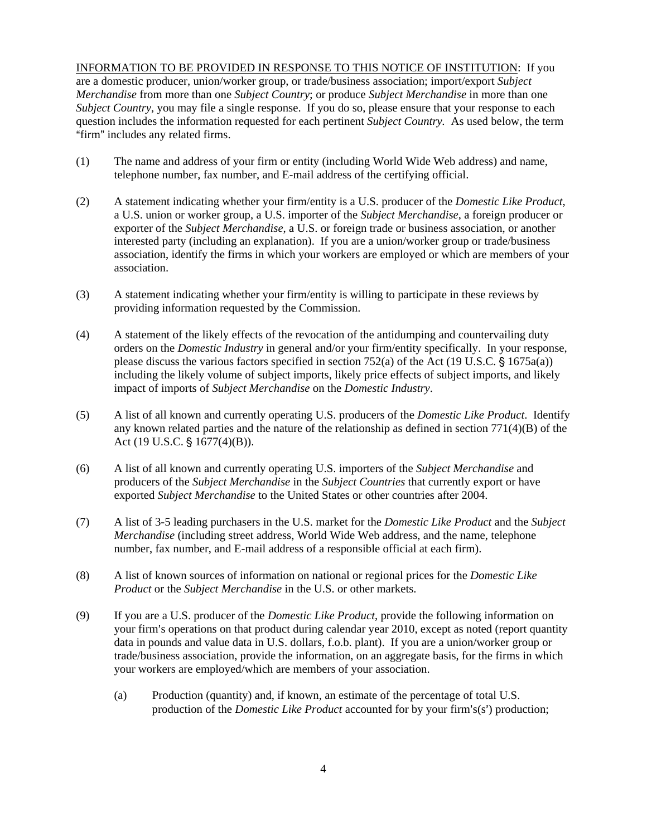INFORMATION TO BE PROVIDED IN RESPONSE TO THIS NOTICE OF INSTITUTION: If you are a domestic producer, union/worker group, or trade/business association; import/export *Subject Merchandise* from more than one *Subject Country*; or produce *Subject Merchandise* in more than one *Subject Country*, you may file a single response. If you do so, please ensure that your response to each question includes the information requested for each pertinent *Subject Country.* As used below, the term "firm" includes any related firms.

- (1) The name and address of your firm or entity (including World Wide Web address) and name, telephone number, fax number, and E-mail address of the certifying official.
- (2) A statement indicating whether your firm/entity is a U.S. producer of the *Domestic Like Product*, a U.S. union or worker group, a U.S. importer of the *Subject Merchandise*, a foreign producer or exporter of the *Subject Merchandise*, a U.S. or foreign trade or business association, or another interested party (including an explanation). If you are a union/worker group or trade/business association, identify the firms in which your workers are employed or which are members of your association.
- (3) A statement indicating whether your firm/entity is willing to participate in these reviews by providing information requested by the Commission.
- (4) A statement of the likely effects of the revocation of the antidumping and countervailing duty orders on the *Domestic Industry* in general and/or your firm/entity specifically. In your response, please discuss the various factors specified in section 752(a) of the Act (19 U.S.C.  $\S$  1675a(a)) including the likely volume of subject imports, likely price effects of subject imports, and likely impact of imports of *Subject Merchandise* on the *Domestic Industry*.
- (5) A list of all known and currently operating U.S. producers of the *Domestic Like Product*. Identify any known related parties and the nature of the relationship as defined in section  $771(4)(B)$  of the Act (19 U.S.C.  $\S$  1677(4)(B)).
- (6) A list of all known and currently operating U.S. importers of the *Subject Merchandise* and producers of the *Subject Merchandise* in the *Subject Countries* that currently export or have exported *Subject Merchandise* to the United States or other countries after 2004.
- (7) A list of 3-5 leading purchasers in the U.S. market for the *Domestic Like Product* and the *Subject Merchandise* (including street address, World Wide Web address, and the name, telephone number, fax number, and E-mail address of a responsible official at each firm).
- (8) A list of known sources of information on national or regional prices for the *Domestic Like Product* or the *Subject Merchandise* in the U.S. or other markets.
- (9) If you are a U.S. producer of the *Domestic Like Product*, provide the following information on your firm's operations on that product during calendar year 2010, except as noted (report quantity data in pounds and value data in U.S. dollars, f.o.b. plant). If you are a union/worker group or trade/business association, provide the information, on an aggregate basis, for the firms in which your workers are employed/which are members of your association.
	- (a) Production (quantity) and, if known, an estimate of the percentage of total U.S. production of the *Domestic Like Product* accounted for by your firm's(s') production;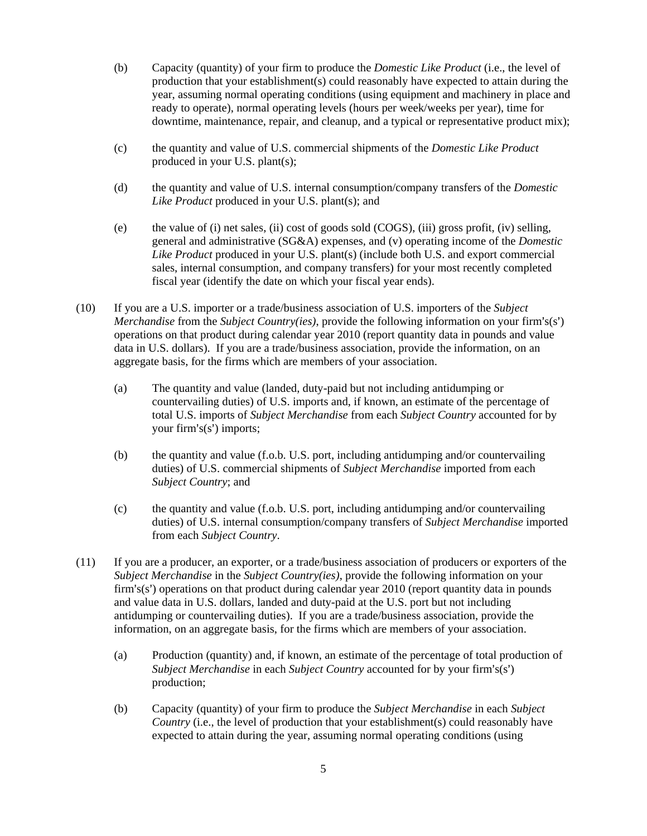- (b) Capacity (quantity) of your firm to produce the *Domestic Like Product* (i.e., the level of production that your establishment(s) could reasonably have expected to attain during the year, assuming normal operating conditions (using equipment and machinery in place and ready to operate), normal operating levels (hours per week/weeks per year), time for downtime, maintenance, repair, and cleanup, and a typical or representative product mix);
- (c) the quantity and value of U.S. commercial shipments of the *Domestic Like Product* produced in your U.S. plant(s);
- (d) the quantity and value of U.S. internal consumption/company transfers of the *Domestic Like Product* produced in your U.S. plant(s); and
- (e) the value of (i) net sales, (ii) cost of goods sold (COGS), (iii) gross profit, (iv) selling, general and administrative (SG&A) expenses, and (v) operating income of the *Domestic Like Product* produced in your U.S. plant(s) (include both U.S. and export commercial sales, internal consumption, and company transfers) for your most recently completed fiscal year (identify the date on which your fiscal year ends).
- (10) If you are a U.S. importer or a trade/business association of U.S. importers of the *Subject Merchandise* from the *Subject Country(ies)*, provide the following information on your firm's(s') operations on that product during calendar year 2010 (report quantity data in pounds and value data in U.S. dollars). If you are a trade/business association, provide the information, on an aggregate basis, for the firms which are members of your association.
	- (a) The quantity and value (landed, duty-paid but not including antidumping or countervailing duties) of U.S. imports and, if known, an estimate of the percentage of total U.S. imports of *Subject Merchandise* from each *Subject Country* accounted for by your firm's $(s')$  imports;
	- (b) the quantity and value (f.o.b. U.S. port, including antidumping and/or countervailing duties) of U.S. commercial shipments of *Subject Merchandise* imported from each *Subject Country*; and
	- (c) the quantity and value (f.o.b. U.S. port, including antidumping and/or countervailing duties) of U.S. internal consumption/company transfers of *Subject Merchandise* imported from each *Subject Country*.
- (11) If you are a producer, an exporter, or a trade/business association of producers or exporters of the *Subject Merchandise* in the *Subject Country(ies)*, provide the following information on your firm's(s') operations on that product during calendar year 2010 (report quantity data in pounds and value data in U.S. dollars, landed and duty-paid at the U.S. port but not including antidumping or countervailing duties). If you are a trade/business association, provide the information, on an aggregate basis, for the firms which are members of your association.
	- (a) Production (quantity) and, if known, an estimate of the percentage of total production of *Subject Merchandise* in each *Subject Country* accounted for by your firm's(s') production;
	- (b) Capacity (quantity) of your firm to produce the *Subject Merchandise* in each *Subject Country* (i.e., the level of production that your establishment(s) could reasonably have expected to attain during the year, assuming normal operating conditions (using